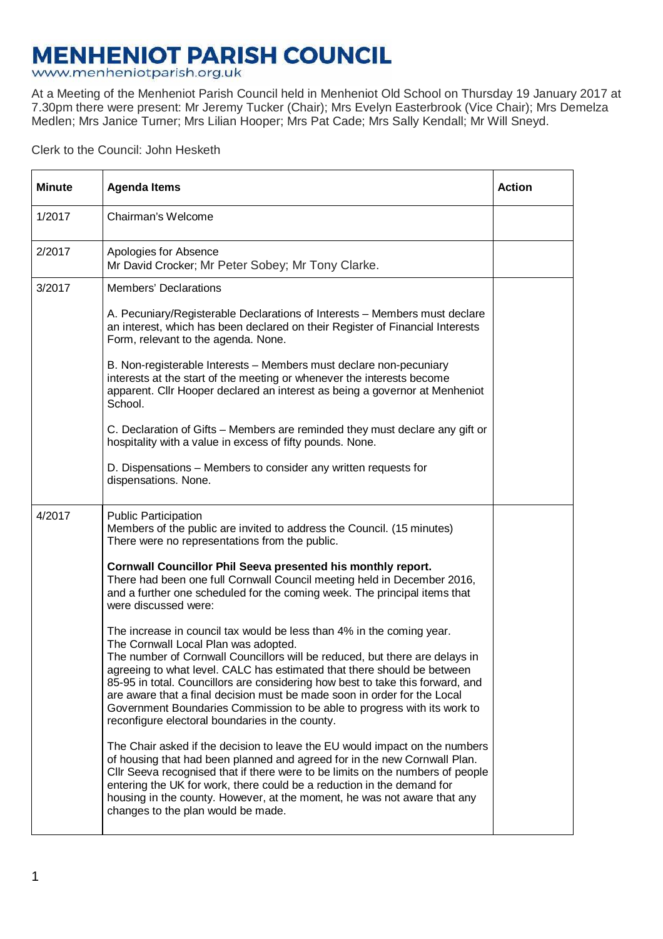## **MENHENIOT PARISH COUNCIL**

www.menheniotparish.org.uk

At a Meeting of the Menheniot Parish Council held in Menheniot Old School on Thursday 19 January 2017 at 7.30pm there were present: Mr Jeremy Tucker (Chair); Mrs Evelyn Easterbrook (Vice Chair); Mrs Demelza Medlen; Mrs Janice Turner; Mrs Lilian Hooper; Mrs Pat Cade; Mrs Sally Kendall; Mr Will Sneyd.

Clerk to the Council: John Hesketh

| <b>Minute</b> | <b>Agenda Items</b>                                                                                                                                                                                                                                                                                                                                                                                                                                                                                                                                                  | <b>Action</b> |
|---------------|----------------------------------------------------------------------------------------------------------------------------------------------------------------------------------------------------------------------------------------------------------------------------------------------------------------------------------------------------------------------------------------------------------------------------------------------------------------------------------------------------------------------------------------------------------------------|---------------|
| 1/2017        | Chairman's Welcome                                                                                                                                                                                                                                                                                                                                                                                                                                                                                                                                                   |               |
| 2/2017        | Apologies for Absence<br>Mr David Crocker; Mr Peter Sobey; Mr Tony Clarke.                                                                                                                                                                                                                                                                                                                                                                                                                                                                                           |               |
| 3/2017        | <b>Members' Declarations</b>                                                                                                                                                                                                                                                                                                                                                                                                                                                                                                                                         |               |
|               | A. Pecuniary/Registerable Declarations of Interests - Members must declare<br>an interest, which has been declared on their Register of Financial Interests<br>Form, relevant to the agenda. None.                                                                                                                                                                                                                                                                                                                                                                   |               |
|               | B. Non-registerable Interests - Members must declare non-pecuniary<br>interests at the start of the meeting or whenever the interests become<br>apparent. Cllr Hooper declared an interest as being a governor at Menheniot<br>School.                                                                                                                                                                                                                                                                                                                               |               |
|               | C. Declaration of Gifts - Members are reminded they must declare any gift or<br>hospitality with a value in excess of fifty pounds. None.                                                                                                                                                                                                                                                                                                                                                                                                                            |               |
|               | D. Dispensations – Members to consider any written requests for<br>dispensations. None.                                                                                                                                                                                                                                                                                                                                                                                                                                                                              |               |
| 4/2017        | <b>Public Participation</b><br>Members of the public are invited to address the Council. (15 minutes)<br>There were no representations from the public.                                                                                                                                                                                                                                                                                                                                                                                                              |               |
|               | Cornwall Councillor Phil Seeva presented his monthly report.<br>There had been one full Cornwall Council meeting held in December 2016,<br>and a further one scheduled for the coming week. The principal items that<br>were discussed were:                                                                                                                                                                                                                                                                                                                         |               |
|               | The increase in council tax would be less than 4% in the coming year.<br>The Cornwall Local Plan was adopted.<br>The number of Cornwall Councillors will be reduced, but there are delays in<br>agreeing to what level. CALC has estimated that there should be between<br>85-95 in total. Councillors are considering how best to take this forward, and<br>are aware that a final decision must be made soon in order for the Local<br>Government Boundaries Commission to be able to progress with its work to<br>reconfigure electoral boundaries in the county. |               |
|               | The Chair asked if the decision to leave the EU would impact on the numbers<br>of housing that had been planned and agreed for in the new Cornwall Plan.<br>CIIr Seeva recognised that if there were to be limits on the numbers of people<br>entering the UK for work, there could be a reduction in the demand for<br>housing in the county. However, at the moment, he was not aware that any<br>changes to the plan would be made.                                                                                                                               |               |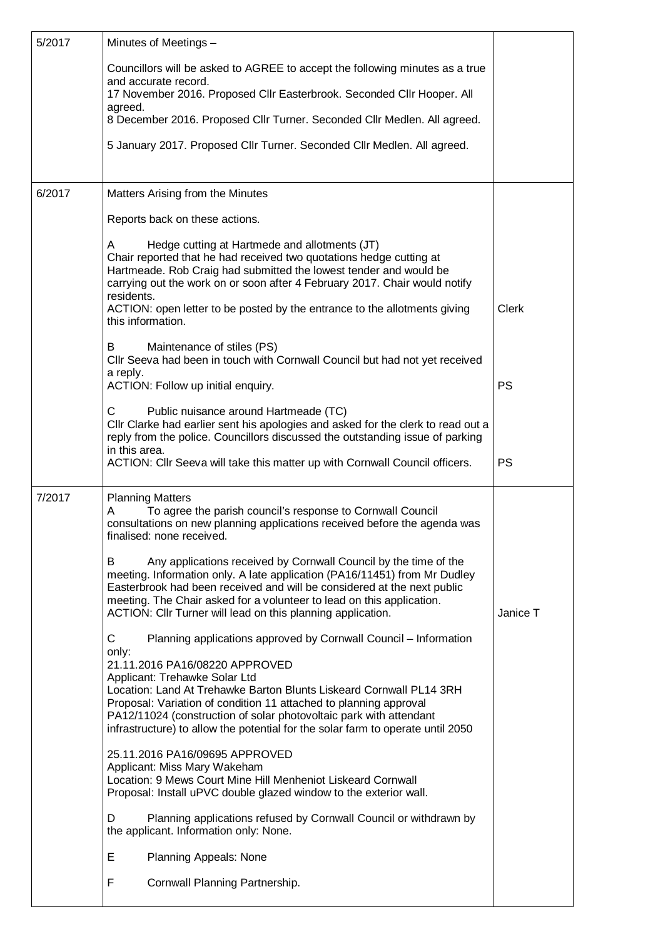| 5/2017 | Minutes of Meetings -                                                                                                                                                                                                                                                                                                                                                                        |              |  |  |  |
|--------|----------------------------------------------------------------------------------------------------------------------------------------------------------------------------------------------------------------------------------------------------------------------------------------------------------------------------------------------------------------------------------------------|--------------|--|--|--|
|        | Councillors will be asked to AGREE to accept the following minutes as a true                                                                                                                                                                                                                                                                                                                 |              |  |  |  |
|        | and accurate record.<br>17 November 2016. Proposed Cllr Easterbrook. Seconded Cllr Hooper. All                                                                                                                                                                                                                                                                                               |              |  |  |  |
|        | agreed.<br>8 December 2016. Proposed Cllr Turner. Seconded Cllr Medlen. All agreed.                                                                                                                                                                                                                                                                                                          |              |  |  |  |
|        | 5 January 2017. Proposed Cllr Turner. Seconded Cllr Medlen. All agreed.                                                                                                                                                                                                                                                                                                                      |              |  |  |  |
|        |                                                                                                                                                                                                                                                                                                                                                                                              |              |  |  |  |
| 6/2017 | Matters Arising from the Minutes                                                                                                                                                                                                                                                                                                                                                             |              |  |  |  |
|        | Reports back on these actions.                                                                                                                                                                                                                                                                                                                                                               |              |  |  |  |
|        | Hedge cutting at Hartmede and allotments (JT)<br>Α<br>Chair reported that he had received two quotations hedge cutting at<br>Hartmeade. Rob Craig had submitted the lowest tender and would be<br>carrying out the work on or soon after 4 February 2017. Chair would notify<br>residents.<br>ACTION: open letter to be posted by the entrance to the allotments giving<br>this information. | <b>Clerk</b> |  |  |  |
|        | Maintenance of stiles (PS)<br>B<br>Cllr Seeva had been in touch with Cornwall Council but had not yet received<br>a reply.<br>ACTION: Follow up initial enquiry.                                                                                                                                                                                                                             | <b>PS</b>    |  |  |  |
|        | C                                                                                                                                                                                                                                                                                                                                                                                            |              |  |  |  |
|        | Public nuisance around Hartmeade (TC)<br>Cllr Clarke had earlier sent his apologies and asked for the clerk to read out a<br>reply from the police. Councillors discussed the outstanding issue of parking<br>in this area.                                                                                                                                                                  |              |  |  |  |
|        | ACTION: Cllr Seeva will take this matter up with Cornwall Council officers.                                                                                                                                                                                                                                                                                                                  | <b>PS</b>    |  |  |  |
| 7/2017 | <b>Planning Matters</b><br>Α<br>To agree the parish council's response to Cornwall Council<br>consultations on new planning applications received before the agenda was<br>finalised: none received.                                                                                                                                                                                         |              |  |  |  |
|        | Any applications received by Cornwall Council by the time of the<br>B<br>meeting. Information only. A late application (PA16/11451) from Mr Dudley<br>Easterbrook had been received and will be considered at the next public<br>meeting. The Chair asked for a volunteer to lead on this application.<br>ACTION: Cllr Turner will lead on this planning application.                        |              |  |  |  |
|        | C<br>Planning applications approved by Cornwall Council - Information                                                                                                                                                                                                                                                                                                                        |              |  |  |  |
|        | only:<br>21.11.2016 PA16/08220 APPROVED<br>Applicant: Trehawke Solar Ltd<br>Location: Land At Trehawke Barton Blunts Liskeard Cornwall PL14 3RH<br>Proposal: Variation of condition 11 attached to planning approval<br>PA12/11024 (construction of solar photovoltaic park with attendant<br>infrastructure) to allow the potential for the solar farm to operate until 2050                |              |  |  |  |
|        | 25.11.2016 PA16/09695 APPROVED<br>Applicant: Miss Mary Wakeham<br>Location: 9 Mews Court Mine Hill Menheniot Liskeard Cornwall<br>Proposal: Install uPVC double glazed window to the exterior wall.                                                                                                                                                                                          |              |  |  |  |
|        | D<br>Planning applications refused by Cornwall Council or withdrawn by<br>the applicant. Information only: None.                                                                                                                                                                                                                                                                             |              |  |  |  |
|        | E<br>Planning Appeals: None                                                                                                                                                                                                                                                                                                                                                                  |              |  |  |  |
|        | F<br>Cornwall Planning Partnership.                                                                                                                                                                                                                                                                                                                                                          |              |  |  |  |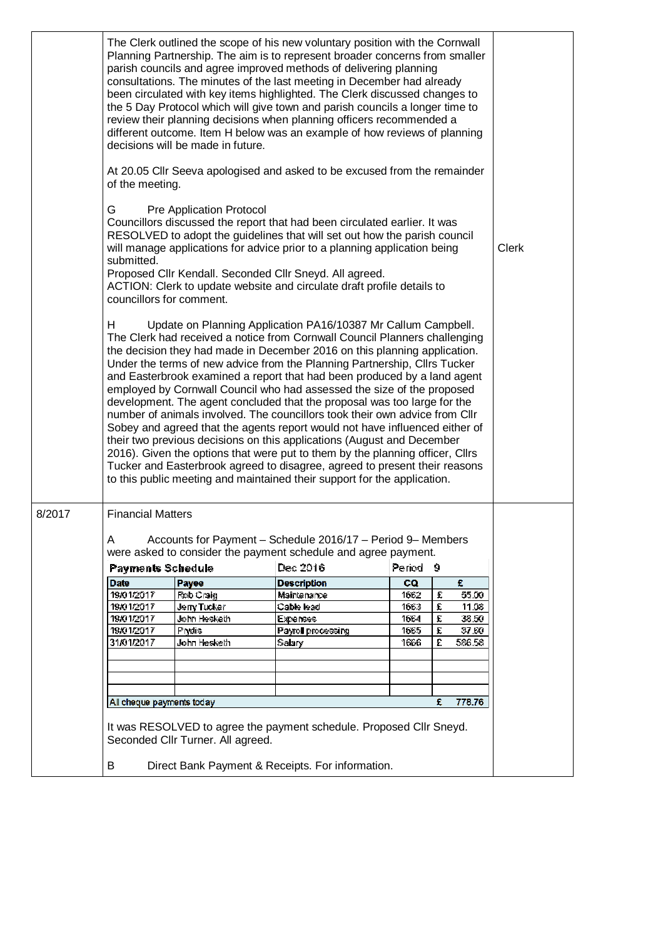|        | The Clerk outlined the scope of his new voluntary position with the Cornwall<br>Planning Partnership. The aim is to represent broader concerns from smaller<br>parish councils and agree improved methods of delivering planning<br>consultations. The minutes of the last meeting in December had already<br>been circulated with key items highlighted. The Clerk discussed changes to<br>the 5 Day Protocol which will give town and parish councils a longer time to<br>review their planning decisions when planning officers recommended a<br>different outcome. Item H below was an example of how reviews of planning<br>decisions will be made in future.                                                                                                                                                                                                                                                                                                                                                                                                                                                                                                                                                                                                                                                                                                                                                                                                                     |              |  |                                                                            |                     |   |        |              |
|--------|----------------------------------------------------------------------------------------------------------------------------------------------------------------------------------------------------------------------------------------------------------------------------------------------------------------------------------------------------------------------------------------------------------------------------------------------------------------------------------------------------------------------------------------------------------------------------------------------------------------------------------------------------------------------------------------------------------------------------------------------------------------------------------------------------------------------------------------------------------------------------------------------------------------------------------------------------------------------------------------------------------------------------------------------------------------------------------------------------------------------------------------------------------------------------------------------------------------------------------------------------------------------------------------------------------------------------------------------------------------------------------------------------------------------------------------------------------------------------------------|--------------|--|----------------------------------------------------------------------------|---------------------|---|--------|--------------|
|        | At 20.05 Cllr Seeva apologised and asked to be excused from the remainder<br>of the meeting.                                                                                                                                                                                                                                                                                                                                                                                                                                                                                                                                                                                                                                                                                                                                                                                                                                                                                                                                                                                                                                                                                                                                                                                                                                                                                                                                                                                           |              |  |                                                                            |                     |   |        |              |
|        | G<br>Pre Application Protocol<br>Councillors discussed the report that had been circulated earlier. It was<br>RESOLVED to adopt the guidelines that will set out how the parish council<br>will manage applications for advice prior to a planning application being<br>submitted.<br>Proposed Cllr Kendall. Seconded Cllr Sneyd. All agreed.<br>ACTION: Clerk to update website and circulate draft profile details to<br>councillors for comment.<br>н<br>Update on Planning Application PA16/10387 Mr Callum Campbell.<br>The Clerk had received a notice from Cornwall Council Planners challenging<br>the decision they had made in December 2016 on this planning application.<br>Under the terms of new advice from the Planning Partnership, Cllrs Tucker<br>and Easterbrook examined a report that had been produced by a land agent<br>employed by Cornwall Council who had assessed the size of the proposed<br>development. The agent concluded that the proposal was too large for the<br>number of animals involved. The councillors took their own advice from Cllr<br>Sobey and agreed that the agents report would not have influenced either of<br>their two previous decisions on this applications (August and December<br>2016). Given the options that were put to them by the planning officer, Cllrs<br>Tucker and Easterbrook agreed to disagree, agreed to present their reasons<br>to this public meeting and maintained their support for the application. |              |  |                                                                            |                     |   |        | <b>Clerk</b> |
|        |                                                                                                                                                                                                                                                                                                                                                                                                                                                                                                                                                                                                                                                                                                                                                                                                                                                                                                                                                                                                                                                                                                                                                                                                                                                                                                                                                                                                                                                                                        |              |  |                                                                            |                     |   |        |              |
| 8/2017 | <b>Financial Matters</b>                                                                                                                                                                                                                                                                                                                                                                                                                                                                                                                                                                                                                                                                                                                                                                                                                                                                                                                                                                                                                                                                                                                                                                                                                                                                                                                                                                                                                                                               |              |  |                                                                            |                     |   |        |              |
|        | Α                                                                                                                                                                                                                                                                                                                                                                                                                                                                                                                                                                                                                                                                                                                                                                                                                                                                                                                                                                                                                                                                                                                                                                                                                                                                                                                                                                                                                                                                                      |              |  | Accounts for Payment - Schedule 2016/17 - Period 9- Members                |                     |   |        |              |
|        | <b>Payments Schedule</b>                                                                                                                                                                                                                                                                                                                                                                                                                                                                                                                                                                                                                                                                                                                                                                                                                                                                                                                                                                                                                                                                                                                                                                                                                                                                                                                                                                                                                                                               |              |  | were asked to consider the payment schedule and agree payment.<br>Dec 2016 | Period <sub>9</sub> |   |        |              |
|        | <b>Date</b>                                                                                                                                                                                                                                                                                                                                                                                                                                                                                                                                                                                                                                                                                                                                                                                                                                                                                                                                                                                                                                                                                                                                                                                                                                                                                                                                                                                                                                                                            | Payee        |  | <b>Description</b>                                                         | co                  |   | £      |              |
|        | 19/01/2017                                                                                                                                                                                                                                                                                                                                                                                                                                                                                                                                                                                                                                                                                                                                                                                                                                                                                                                                                                                                                                                                                                                                                                                                                                                                                                                                                                                                                                                                             | Rob Craig    |  | Maintenance                                                                | 1662                | £ | 55.00  |              |
|        | 19/01/2017                                                                                                                                                                                                                                                                                                                                                                                                                                                                                                                                                                                                                                                                                                                                                                                                                                                                                                                                                                                                                                                                                                                                                                                                                                                                                                                                                                                                                                                                             | Jerry Tucker |  | Cable lead                                                                 | 166.3               | £ | 11.08  |              |
|        | 19/01/2017                                                                                                                                                                                                                                                                                                                                                                                                                                                                                                                                                                                                                                                                                                                                                                                                                                                                                                                                                                                                                                                                                                                                                                                                                                                                                                                                                                                                                                                                             | John Hesketh |  | <b>Expenses</b>                                                            | 1664                | £ | 38.50  |              |
|        | 19/01/2017                                                                                                                                                                                                                                                                                                                                                                                                                                                                                                                                                                                                                                                                                                                                                                                                                                                                                                                                                                                                                                                                                                                                                                                                                                                                                                                                                                                                                                                                             | Prydis       |  | Payrell precessing                                                         | 1665                | £ | 87.60  |              |
|        | 31/01/2017                                                                                                                                                                                                                                                                                                                                                                                                                                                                                                                                                                                                                                                                                                                                                                                                                                                                                                                                                                                                                                                                                                                                                                                                                                                                                                                                                                                                                                                                             | John Hesketh |  | Salary                                                                     | 1666                | £ | 586.58 |              |
|        |                                                                                                                                                                                                                                                                                                                                                                                                                                                                                                                                                                                                                                                                                                                                                                                                                                                                                                                                                                                                                                                                                                                                                                                                                                                                                                                                                                                                                                                                                        |              |  |                                                                            |                     |   |        |              |
|        |                                                                                                                                                                                                                                                                                                                                                                                                                                                                                                                                                                                                                                                                                                                                                                                                                                                                                                                                                                                                                                                                                                                                                                                                                                                                                                                                                                                                                                                                                        |              |  |                                                                            |                     |   |        |              |
|        |                                                                                                                                                                                                                                                                                                                                                                                                                                                                                                                                                                                                                                                                                                                                                                                                                                                                                                                                                                                                                                                                                                                                                                                                                                                                                                                                                                                                                                                                                        |              |  |                                                                            |                     |   |        |              |
|        | All cheque payments today                                                                                                                                                                                                                                                                                                                                                                                                                                                                                                                                                                                                                                                                                                                                                                                                                                                                                                                                                                                                                                                                                                                                                                                                                                                                                                                                                                                                                                                              |              |  |                                                                            |                     | £ | 778.76 |              |
|        | It was RESOLVED to agree the payment schedule. Proposed Cllr Sneyd.<br>Seconded Cllr Turner. All agreed.<br>B<br>Direct Bank Payment & Receipts. For information.                                                                                                                                                                                                                                                                                                                                                                                                                                                                                                                                                                                                                                                                                                                                                                                                                                                                                                                                                                                                                                                                                                                                                                                                                                                                                                                      |              |  |                                                                            |                     |   |        |              |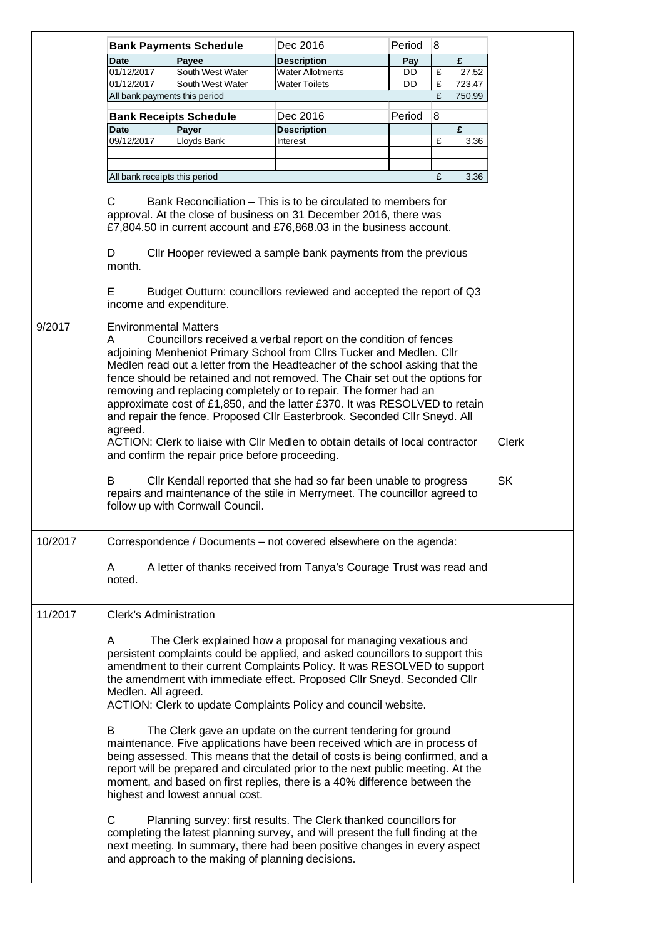|         |                                                                                                                                                                                                                                                                                                                                                                                                                                                                                                                                                                                                                                                                                                                             | <b>Bank Payments Schedule</b>                                                        | Dec 2016                                                                                                                                                                                                                                                                                                                                                                                                                                                                                                             | Period | 8            |              |           |
|---------|-----------------------------------------------------------------------------------------------------------------------------------------------------------------------------------------------------------------------------------------------------------------------------------------------------------------------------------------------------------------------------------------------------------------------------------------------------------------------------------------------------------------------------------------------------------------------------------------------------------------------------------------------------------------------------------------------------------------------------|--------------------------------------------------------------------------------------|----------------------------------------------------------------------------------------------------------------------------------------------------------------------------------------------------------------------------------------------------------------------------------------------------------------------------------------------------------------------------------------------------------------------------------------------------------------------------------------------------------------------|--------|--------------|--------------|-----------|
|         | <b>Date</b>                                                                                                                                                                                                                                                                                                                                                                                                                                                                                                                                                                                                                                                                                                                 | Payee                                                                                | <b>Description</b>                                                                                                                                                                                                                                                                                                                                                                                                                                                                                                   | Pay    |              | £            |           |
|         | 01/12/2017                                                                                                                                                                                                                                                                                                                                                                                                                                                                                                                                                                                                                                                                                                                  | South West Water                                                                     | <b>Water Allotments</b>                                                                                                                                                                                                                                                                                                                                                                                                                                                                                              | DD     | £            | 27.52        |           |
|         | 01/12/2017                                                                                                                                                                                                                                                                                                                                                                                                                                                                                                                                                                                                                                                                                                                  | South West Water                                                                     | <b>Water Toilets</b>                                                                                                                                                                                                                                                                                                                                                                                                                                                                                                 | DD     | $\mathbf{f}$ | 723.47       |           |
|         | All bank payments this period                                                                                                                                                                                                                                                                                                                                                                                                                                                                                                                                                                                                                                                                                               |                                                                                      |                                                                                                                                                                                                                                                                                                                                                                                                                                                                                                                      |        | £            | 750.99       |           |
|         | <b>Bank Receipts Schedule</b>                                                                                                                                                                                                                                                                                                                                                                                                                                                                                                                                                                                                                                                                                               |                                                                                      | Dec 2016                                                                                                                                                                                                                                                                                                                                                                                                                                                                                                             | Period | 8            |              |           |
|         | <b>Date</b>                                                                                                                                                                                                                                                                                                                                                                                                                                                                                                                                                                                                                                                                                                                 | Payer                                                                                | <b>Description</b>                                                                                                                                                                                                                                                                                                                                                                                                                                                                                                   |        |              | £            |           |
|         | 09/12/2017                                                                                                                                                                                                                                                                                                                                                                                                                                                                                                                                                                                                                                                                                                                  | Lloyds Bank                                                                          | Interest                                                                                                                                                                                                                                                                                                                                                                                                                                                                                                             |        | £            | 3.36         |           |
|         |                                                                                                                                                                                                                                                                                                                                                                                                                                                                                                                                                                                                                                                                                                                             |                                                                                      |                                                                                                                                                                                                                                                                                                                                                                                                                                                                                                                      |        |              |              |           |
|         |                                                                                                                                                                                                                                                                                                                                                                                                                                                                                                                                                                                                                                                                                                                             |                                                                                      |                                                                                                                                                                                                                                                                                                                                                                                                                                                                                                                      |        |              |              |           |
|         | All bank receipts this period                                                                                                                                                                                                                                                                                                                                                                                                                                                                                                                                                                                                                                                                                               |                                                                                      |                                                                                                                                                                                                                                                                                                                                                                                                                                                                                                                      |        | £            | 3.36         |           |
|         | C<br>Bank Reconciliation – This is to be circulated to members for<br>approval. At the close of business on 31 December 2016, there was<br>£7,804.50 in current account and £76,868.03 in the business account.<br>CIIr Hooper reviewed a sample bank payments from the previous<br>D<br>month.<br>Е<br>Budget Outturn: councillors reviewed and accepted the report of Q3<br>income and expenditure.                                                                                                                                                                                                                                                                                                                       |                                                                                      |                                                                                                                                                                                                                                                                                                                                                                                                                                                                                                                      |        |              |              |           |
|         |                                                                                                                                                                                                                                                                                                                                                                                                                                                                                                                                                                                                                                                                                                                             |                                                                                      |                                                                                                                                                                                                                                                                                                                                                                                                                                                                                                                      |        |              |              |           |
| 9/2017  | <b>Environmental Matters</b><br>Α<br>Councillors received a verbal report on the condition of fences<br>adjoining Menheniot Primary School from Cllrs Tucker and Medlen. Cllr<br>Medlen read out a letter from the Headteacher of the school asking that the<br>fence should be retained and not removed. The Chair set out the options for<br>removing and replacing completely or to repair. The former had an<br>approximate cost of £1,850, and the latter £370. It was RESOLVED to retain<br>and repair the fence. Proposed Cllr Easterbrook. Seconded Cllr Sneyd. All<br>agreed.<br>ACTION: Clerk to liaise with Cllr Medlen to obtain details of local contractor<br>and confirm the repair price before proceeding. |                                                                                      |                                                                                                                                                                                                                                                                                                                                                                                                                                                                                                                      |        |              | <b>Clerk</b> |           |
|         | B<br>Cllr Kendall reported that she had so far been unable to progress<br>repairs and maintenance of the stile in Merrymeet. The councillor agreed to<br>follow up with Cornwall Council.                                                                                                                                                                                                                                                                                                                                                                                                                                                                                                                                   |                                                                                      |                                                                                                                                                                                                                                                                                                                                                                                                                                                                                                                      |        |              |              | <b>SK</b> |
| 10/2017 | Correspondence / Documents - not covered elsewhere on the agenda:<br>A letter of thanks received from Tanya's Courage Trust was read and<br>A<br>noted.                                                                                                                                                                                                                                                                                                                                                                                                                                                                                                                                                                     |                                                                                      |                                                                                                                                                                                                                                                                                                                                                                                                                                                                                                                      |        |              |              |           |
| 11/2017 | Clerk's Administration                                                                                                                                                                                                                                                                                                                                                                                                                                                                                                                                                                                                                                                                                                      |                                                                                      |                                                                                                                                                                                                                                                                                                                                                                                                                                                                                                                      |        |              |              |           |
|         | Α<br>Medlen. All agreed.<br>В                                                                                                                                                                                                                                                                                                                                                                                                                                                                                                                                                                                                                                                                                               |                                                                                      | The Clerk explained how a proposal for managing vexatious and<br>persistent complaints could be applied, and asked councillors to support this<br>amendment to their current Complaints Policy. It was RESOLVED to support<br>the amendment with immediate effect. Proposed Cllr Sneyd. Seconded Cllr<br>ACTION: Clerk to update Complaints Policy and council website.<br>The Clerk gave an update on the current tendering for ground<br>maintenance. Five applications have been received which are in process of |        |              |              |           |
|         | C                                                                                                                                                                                                                                                                                                                                                                                                                                                                                                                                                                                                                                                                                                                           | highest and lowest annual cost.<br>and approach to the making of planning decisions. | being assessed. This means that the detail of costs is being confirmed, and a<br>report will be prepared and circulated prior to the next public meeting. At the<br>moment, and based on first replies, there is a 40% difference between the<br>Planning survey: first results. The Clerk thanked councillors for<br>completing the latest planning survey, and will present the full finding at the<br>next meeting. In summary, there had been positive changes in every aspect                                   |        |              |              |           |